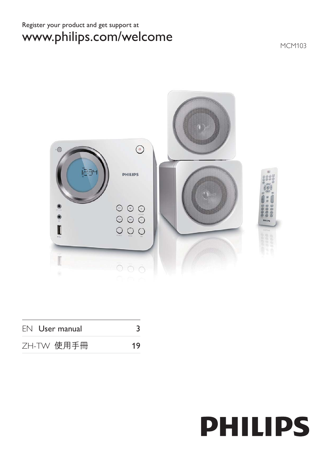# Register your product and get support at www.philips.com/welcome

MCM103



| EN User manual |    |
|----------------|----|
| ZH-TW 使用手冊     | 19 |

# **PHILIPS**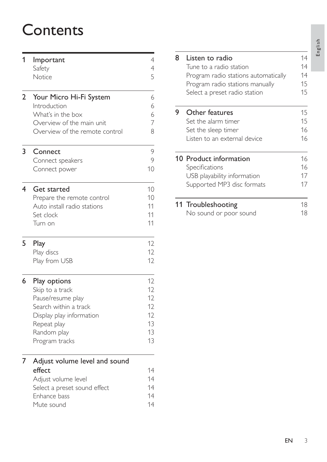# **Contents**

| 1              | Important                      | $\overline{4}$ |
|----------------|--------------------------------|----------------|
|                | Safety                         | $\overline{4}$ |
|                | Notice                         | 5              |
| $\overline{2}$ | Your Micro Hi-Fi System        | 6              |
|                | Introduction                   | 6              |
|                | What's in the box              | 6              |
|                | Overview of the main unit      | $\overline{7}$ |
|                | Overview of the remote control | 8              |
| 3              | Connect                        | 9              |
|                | Connect speakers               | 9              |
|                | Connect power                  | 10             |
| 4              | <b>Get started</b>             | 10             |
|                | Prepare the remote control     | 10             |
|                | Auto install radio stations    | 11             |
|                | Set clock                      | 11             |
|                | Turn on                        | 11             |
| 5              | Play                           | 12             |
|                | Play discs                     | 12             |
|                | Play from USB                  | 12             |
| 6              | <b>Play options</b>            | 12             |
|                | Skip to a track                | 12             |
|                | Pause/resume play              | 12             |
|                | Search within a track          | 12             |
|                | Display play information       | 12             |
|                | Repeat play                    | 13             |
|                | Random play                    | 13             |
|                | Program tracks                 | 13             |
|                | Adjust volume level and sound  |                |
|                | effect                         | 14             |
|                | Adjust volume level            | 14             |
|                | Select a preset sound effect   | 14             |
|                | Enhance bass                   | 14             |
|                | Mute sound                     | 14             |

| 8 | Listen to radio                      | 14<br>14 |
|---|--------------------------------------|----------|
|   | Tune to a radio station              |          |
|   | Program radio stations automatically | 14       |
|   | Program radio stations manually      | 15       |
|   | Select a preset radio station        | 15       |
| 9 | Other features                       | 15       |
|   | Set the alarm timer                  | 15       |
|   | Set the sleep timer                  | 16       |
|   | Listen to an external device         | 16       |
|   | <b>10 Product information</b>        | 16       |
|   | Specifications                       | 16       |
|   | USB playability information          | 17       |
|   | Supported MP3 disc formats           | 17       |
|   |                                      |          |
|   | 11 Troubleshooting                   | 18       |
|   | No sound or poor sound               | 18       |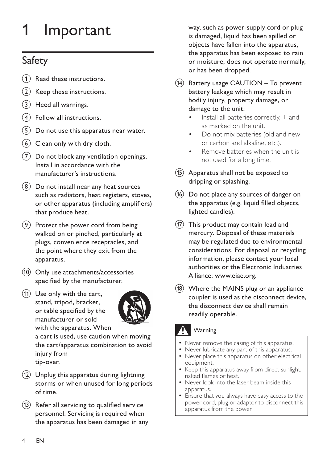# 1 Important

# Safety

- $(1)$  Read these instructions.
- $(2)$  Keep these instructions.
- $(3)$  Heed all warnings.
- $(4)$  Follow all instructions.
- $(5)$  Do not use this apparatus near water.
- $(6)$  Clean only with dry cloth.
- $(7)$  Do not block any ventilation openings. Install in accordance with the manufacturer's instructions.
- $(8)$  Do not install near any heat sources such as radiators, heat registers, stoves, or other apparatus (including amplifiers) that produce heat.
- $(9)$  Protect the power cord from being walked on or pinched, particularly at plugs, convenience receptacles, and the point where they exit from the apparatus.
- $(10)$  Only use attachments/accessories specified by the manufacturer.
- $(11)$  Use only with the cart, stand, tripod, bracket, or table specified by the manufacturer or sold with the apparatus. When



a cart is used, use caution when moving the cart/apparatus combination to avoid injury from tip-over.

- $(12)$  Unplug this apparatus during lightning storms or when unused for long periods of time.
- $(13)$  Refer all servicing to qualified service personnel. Servicing is required when the apparatus has been damaged in any

way, such as power-supply cord or plug is damaged, liquid has been spilled or objects have fallen into the apparatus, the apparatus has been exposed to rain or moisture, does not operate normally, or has been dropped.

- $(14)$  Battery usage CAUTION To prevent battery leakage which may result in bodily injury, property damage, or damage to the unit:
	- Install all batteries correctly, + and as marked on the unit.
	- Do not mix batteries (old and new or carbon and alkaline, etc.).
	- Remove batteries when the unit is not used for a long time.
- $(15)$  Apparatus shall not be exposed to dripping or splashing.
- $(16)$  Do not place any sources of danger on the apparatus (e.g. liquid filled objects, lighted candles).
- $(17)$  This product may contain lead and mercury. Disposal of these materials may be regulated due to environmental considerations. For disposal or recycling information, please contact your local authorities or the Electronic Industries Alliance: www.eiae.org.
- $(18)$  Where the MAINS plug or an appliance coupler is used as the disconnect device, the disconnect device shall remain readily operable.

# **Warning**

- Never remove the casing of this apparatus.
- Never lubricate any part of this apparatus.
- Never place this apparatus on other electrical equipment.
- Keep this apparatus away from direct sunlight, naked flames or heat.
- Never look into the laser beam inside this apparatus.
- Ensure that you always have easy access to the power cord, plug or adaptor to disconnect this apparatus from the power.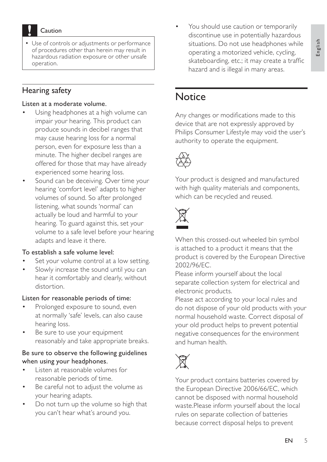Caution

 Use of controls or adjustments or performance of procedures other than herein may result in hazardous radiation exposure or other unsafe operation.

## Hearing safety

#### Listen at a moderate volume.

- Using headphones at a high volume can impair your hearing. This product can produce sounds in decibel ranges that may cause hearing loss for a normal person, even for exposure less than a minute. The higher decibel ranges are offered for those that may have already experienced some hearing loss.
- Sound can be deceiving. Over time your hearing 'comfort level' adapts to higher volumes of sound. So after prolonged listening, what sounds 'normal' can actually be loud and harmful to your hearing. To guard against this, set your volume to a safe level before your hearing adapts and leave it there.

#### To establish a safe volume level:

- Set your volume control at a low setting.
- Slowly increase the sound until you can hear it comfortably and clearly, without distortion.

## Listen for reasonable periods of time:

- Prolonged exposure to sound, even at normally 'safe' levels, can also cause hearing loss.
- Be sure to use your equipment reasonably and take appropriate breaks.

### Be sure to observe the following guidelines when using your headphones.

- Listen at reasonable volumes for reasonable periods of time.
- Be careful not to adjust the volume as your hearing adapts.
- Do not turn up the volume so high that you can't hear what's around you.

 You should use caution or temporarily discontinue use in potentially hazardous situations. Do not use headphones while operating a motorized vehicle, cycling, skateboarding, etc.; it may create a traffic hazard and is illegal in many areas.

# **Notice**

Any changes or modifications made to this device that are not expressly approved by Philips Consumer Lifestyle may void the user's authority to operate the equipment.



Your product is designed and manufactured with high quality materials and components, which can be recycled and reused.



When this crossed-out wheeled bin symbol is attached to a product it means that the product is covered by the European Directive 2002/96/EC.

Please inform yourself about the local separate collection system for electrical and electronic products.

Please act according to your local rules and do not dispose of your old products with your normal household waste. Correct disposal of your old product helps to prevent potential negative consequences for the environment and human health.



Your product contains batteries covered by the European Directive 2006/66/EC, which cannot be disposed with normal household waste.Please inform yourself about the local rules on separate collection of batteries because correct disposal helps to prevent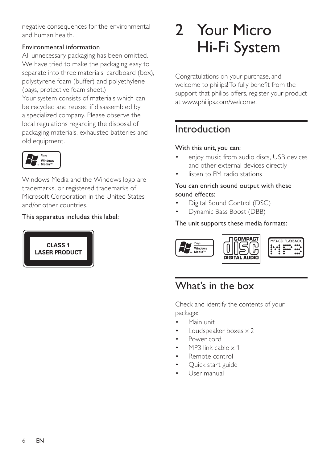negative consequences for the environmental and human health.

## Environmental information

All unnecessary packaging has been omitted. We have tried to make the packaging easy to separate into three materials: cardboard (box), polystyrene foam (buffer) and polyethylene (bags, protective foam sheet.)

Your system consists of materials which can be recycled and reused if disassembled by a specialized company. Please observe the local regulations regarding the disposal of packaging materials, exhausted batteries and old equipment.



Windows Media and the Windows logo are trademarks, or registered trademarks of Microsoft Corporation in the United States and/or other countries.

## This apparatus includes this label:



# 2 Your Micro Hi-Fi System

Congratulations on your purchase, and welcome to philips! To fully benefit from the support that philips offers, register your product at www.philips.com/welcome.

# Introduction

## With this unit, you can:

- enjoy music from audio discs, USB devices and other external devices directly
- listen to FM radio stations

## You can enrich sound output with these sound effects:

- Digital Sound Control (DSC)
- Dynamic Bass Boost (DBB)

## The unit supports these media formats:



# What's in the box

Check and identify the contents of your package:

- Main unit
- Loudspeaker boxes x 2
- Power cord
- MP3 link cable x 1
- Remote control
- Quick start guide
- User manual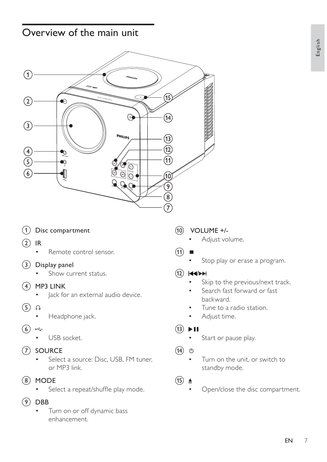# Overview of the main unit



- $(1)$  Disc compartment
- $(2)$  IR
	- Remote control sensor.

## $(3)$  Display panel

- Show current status.
- $(4)$  MP3 LINK
	- Jack for an external audio device.
- $(5)$  ନ
	- Headphone jack.
- $(6)$  $\overrightarrow{a}$ 
	- USB socket.
- (7) SOURCE
	- Select a source: Disc, USB, FM tuner, or MP3 link.
- $(8)$  MODE
	- Select a repeat/shuffle play mode.
- $(9)$  DBB
	- Turn on or off dynamic bass enhancement.

## $(10)$  VOLUME +/-

- Adjust volume.
- $(11)$ 
	- Stop play or erase a program.

## $(12)$   $\blacktriangleleft\blacktriangleleft\blacktriangleright\blacktriangleright\blacktriangleright\blacktriangleright$

- Skip to the previous/next track.
- Search fast forward or fast backward.
- Tune to a radio station.
- Adjust time.

## $(13)$  **Dell**

- Start or pause play.
- $\circlearrowleft$  $(14)$ 
	- Turn on the unit, or switch to standby mode.
- $(15)$   $\triangle$ 
	- Open/close the disc compartment.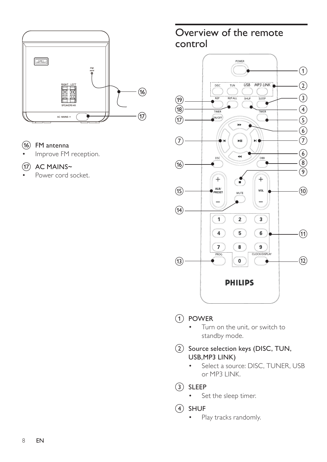

- $(16)$  FM antenna
- Improve FM reception.
- $(17)$  AC MAINS~
- Power cord socket.

# Overview of the remote control



## (1) POWER

 Turn on the unit, or switch to standby mode.

## (2) Source selection keys (DISC, TUN, USB,MP3 LINK)

- Select a source: DISC, TUNER, USB or MP3 LINK.
- 3 SLEEP
	- Set the sleep timer.
- $(4)$  SHUF
	- Play tracks randomly.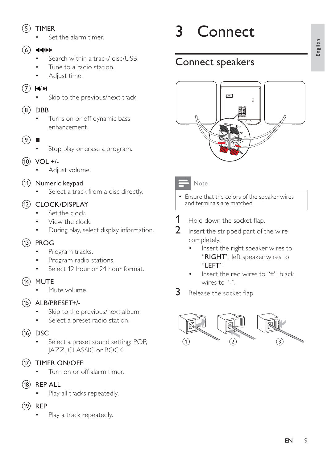## $(5)$  TIMER

Set the alarm timer.

## $(6)$  44/ $\blacktriangleright$

- Search within a track/ disc/USB.
- Tune to a radio station.
- Adjust time.

## $(7)$   $\blacktriangleleft$

Skip to the previous/next track.

## $(8)$  DBB

- Turns on or off dynamic bass enhancement.
- $\left( 9\right)$ 
	- Stop play or erase a program.
- $(10)$  VOL  $+/-$ 
	- Adjust volume.
- (11) Numeric keypad
	- Select a track from a disc directly.

## (12) CLOCK/DISPLAY

- Set the clock.
- View the clock.
- During play, select display information.

## $(13)$  PROG

- Program tracks.
- Program radio stations.
- Select 12 hour or 24 hour format.
- $(14)$  MUTE
	- Mute volume.
- $(15)$  ALB/PRESET+/-
	- Skip to the previous/next album.
	- Select a preset radio station.
- $(16)$  DSC
	- Select a preset sound setting: POP, JAZZ, CLASSIC or ROCK.
- (17) TIMER ON/OFF
	- Turn on or off alarm timer.
- $(18)$  REP ALL
	- Play all tracks repeatedly.
- $(19)$  REP
	- Play a track repeatedly.

# 3 Connect

# Connect speakers



## **Note**

- Ensure that the colors of the speaker wires and terminals are matched.
- - $1$  Hold down the socket flap.
	- **2** Insert the stripped part of the wire completely.
		- Insert the right speaker wires to "RIGHT", left speaker wires to "LEFT".
		- Insert the red wires to "+", black wires to "-".
- - $3$  Release the socket flap.

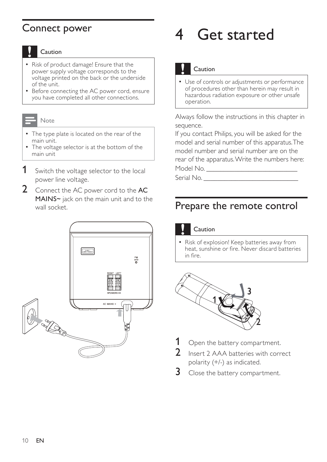# Connect power

## Caution

- Risk of product damage! Ensure that the power supply voltage corresponds to the voltage printed on the back or the underside of the unit.
- Before connecting the AC power cord, ensure you have completed all other connections.

#### Note

- The type plate is located on the rear of the main unit.
- The voltage selector is at the bottom of the main unit
- **1** Switch the voltage selector to the local power line voltage.
- 2 Connect the AC power cord to the AC MAINS~ jack on the main unit and to the wall socket.



# 4 Get started

## Caution

 Use of controls or adjustments or performance of procedures other than herein may result in hazardous radiation exposure or other unsafe operation.

Always follow the instructions in this chapter in sequence.

If you contact Philips, you will be asked for the model and serial number of this apparatus. The model number and serial number are on the rear of the apparatus. Write the numbers here: Model No.

Serial No.

# Prepare the remote control

### Caution

 Risk of explosion! Keep batteries away from heat, sunshine or fire. Never discard batteries in fire.



- **1** Open the battery compartment.
- **2** Insert 2 AAA batteries with correct polarity (+/-) as indicated.
- **3** Close the battery compartment.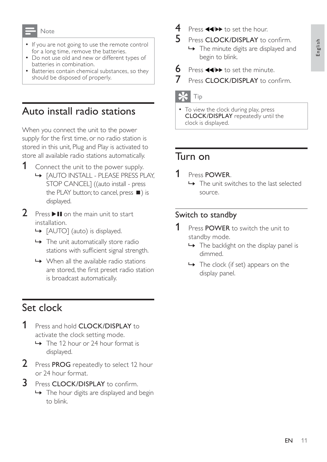#### Note

- If you are not going to use the remote control for a long time, remove the batteries.
- Do not use old and new or different types of batteries in combination.
- Batteries contain chemical substances, so they should be disposed of properly.

# Auto install radio stations

When you connect the unit to the power supply for the first time, or no radio station is stored in this unit, Plug and Play is activated to store all available radio stations automatically.

- **1** Connect the unit to the power supply. » [AUTO INSTALL - PLEASE PRESS PLAY, STOP CANCEL] ((auto install - press the PLAY button; to cancel, press  $\blacksquare$ ) is displayed.
- **2** Press  $\triangleright$  II on the main unit to start installation.
	- » [AUTO] (auto) is displayed.
	- $\rightarrow$  The unit automatically store radio stations with sufficient signal strength.
	- $\rightarrow$  When all the available radio stations are stored, the first preset radio station is broadcast automatically.

# Set clock

- 1 Press and hold **CLOCK/DISPLAY** to activate the clock setting mode.
	- $\rightarrow$  The 12 hour or 24 hour format is displayed.
- 2 Press PROG repeatedly to select 12 hour or 24 hour format.
- 3 Press CLOCK/DISPLAY to confirm.
	- $\rightarrow$  The hour digits are displayed and begin to blink.
- $4$  Press  $\blacktriangleleft \blacktriangleright$  to set the hour.
- $5$  Press CLOCK/DISPLAY to confirm.
	- $\rightarrow$  The minute digits are displayed and begin to blink.
- $\bullet$  Press  $\leftrightarrow$  to set the minute.
- $7$  Press CLOCK/DISPLAY to confirm.

## Tip

• To view the clock during play, press CLOCK/DISPLAY repeatedly until the clock is displayed.

# Turn on

- 1 Press POWER.
	- $\rightarrow$  The unit switches to the last selected source.

# Switch to standby

- **1** Press POWER to switch the unit to standby mode.
	- $\rightarrow$  The backlight on the display panel is dimmed.
	- $\rightarrow$  The clock (if set) appears on the display panel.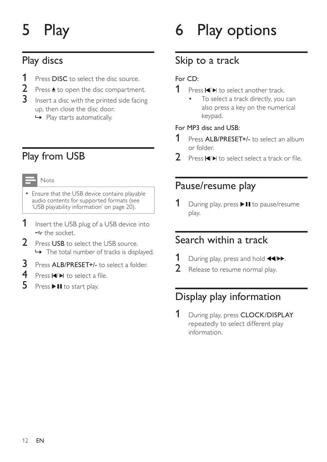# 5 Play

# Play discs

- 1 Press DISC to select the disc source.<br>2 Press ▲ to open the disc compartmer
- 2 Press  $\triangle$  to open the disc compartment.<br>3 Insert a disc with the printed side facing
- Insert a disc with the printed side facing up, then close the disc door.
	- » Play starts automatically.

# Play from USB

### Note

- Ensure that the USB device contains playable audio contents for supported formats (see 'USB playability information' on page 20).
- **1** Insert the USB plug of a USB device into **the socket.**
- 2 Press USB to select the USB source.  $\rightarrow$  The total number of tracks is displayed.
- 3 Press ALB/PRESET+/- to select a folder.<br>4 Press  $\blacksquare$  to select a file.
- Press  $\blacktriangleleft$   $\blacktriangleright$  to select a file.
- $5$  Press  $\blacktriangleright$  II to start play.

# 6 Play options

# Skip to a track

## For CD:

- **1** Press  $\blacktriangleleft$  **H** to select another track.
	- To select a track directly, you can also press a key on the numerical keypad.

## For MP3 disc and USB:

- 1 Press ALB/PRESET+/- to select an album or folder.
- 2 Press / WRVHOHFWVHOHFWDWUDFNRUÀOH

# Pause/resume play

**1** During play, press  $\blacktriangleright$  **II** to pause/resume play.

# Search within a track

- 1 During play, press and hold  $\leftrightarrow$ .<br>2 Release to resume normal play
- Release to resume normal play.

# Display play information

1 During play, press CLOCK/DISPLAY repeatedly to select different play information.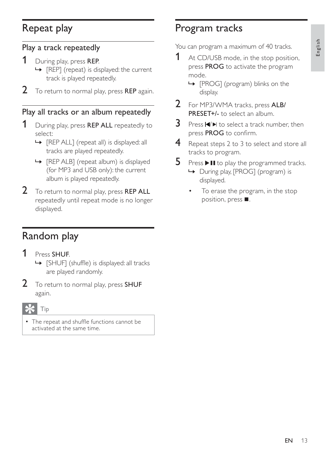# Repeat play

## Play a track repeatedly

- 1 During play, press REP.
	- » [REP] (repeat) is displayed: the current track is played repeatedly.
- 2 To return to normal play, press REP again.

# Play all tracks or an album repeatedly

- 1 During play, press REP ALL repeatedly to select:
	- » [REP ALL] (repeat all) is displayed: all tracks are played repeatedly.
	- » [REP ALB] (repeat album) is displayed (for MP3 and USB only): the current album is played repeatedly.
- 2 To return to normal play, press REP ALL repeatedly until repeat mode is no longer displayed.

# Random play

- 1 Press SHUF.
	- → [SHUF] (shuffle) is displayed: all tracks are played randomly.
- 2 To return to normal play, press SHUF again.

## Tip

The repeat and shuffle functions cannot be activated at the same time.

# Program tracks

You can program a maximum of 40 tracks.

- 1 At CD/USB mode, in the stop position, press PROG to activate the program mode.
	- » [PROG] (program) blinks on the display.
- 2 For MP3/WMA tracks, press ALB/ PRESET+/- to select an album.
- **3** Press  $\blacktriangleleft$  I to select a track number, then press PROG to confirm.
- **4** Repeat steps 2 to 3 to select and store all tracks to program.
- **5** Press  $\triangleright$  II to play the programmed tracks.
	- » During play, [PROG] (program) is displayed.
	- To erase the program, in the stop position, press  $\blacksquare$ .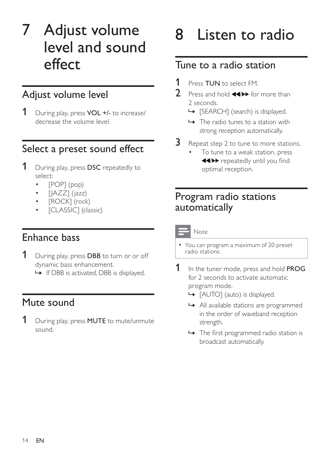# 7 Adjust volume level and sound effect

# Adjust volume level

1 During play, press VOL +/- to increase/ decrease the volume level.

# Select a preset sound effect

- **1** During play, press DSC repeatedly to select:
	- [POP] (pop)
	- $[|AZZ]$  (jazz)
	- [ROCK] (rock)
	- [CLASSIC] (classic)

# Enhance bass

- **1** During play, press DBB to turn or or off dynamic bass enhancement.
	- » If DBB is activated, DBB is displayed.

# Mute sound

**1** During play, press **MUTE** to mute/unmute sound.

# 8 Listen to radio

# Tune to a radio station

- **1** Press TUN to select FM.
	- Press and hold  $\blacktriangleleft \blacklozenge$  for more than 2 seconds.
		- → [SEARCH] (search) is displayed.
		- $\rightarrow$  The radio tunes to a station with strong reception automatically.
- $3$  Repeat step 2 to tune to more stations.
	- To tune to a weak station, press WHO repeatedly until you find optimal reception.

# Program radio stations automatically

## Note

- You can program a maximum of 20 preset radio stations.
- 1 In the tuner mode, press and hold **PROG** for 2 seconds to activate automatic program mode.
	- » [AUTO] (auto) is displayed.
	- » All available stations are programmed in the order of waveband reception strength.
	- $\rightarrow$  The first programmed radio station is broadcast automatically.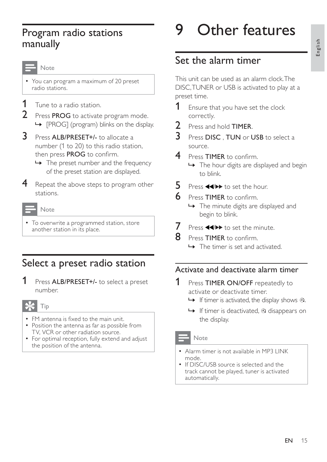# English

# Program radio stations manually

#### Note

 You can program a maximum of 20 preset radio stations.

- **1** Tune to a radio station.
- 2 Press PROG to activate program mode. » [PROG] (program) blinks on the display.
- 3 Press ALB/PRESET+/- to allocate a number (1 to 20) to this radio station, then press PROG to confirm.
	- $\rightarrow$  The preset number and the frequency of the preset station are displayed.
- 4 Repeat the above steps to program other stations.

#### Note

• To overwrite a programmed station, store another station in its place.

# Select a preset radio station

1 Press ALB/PRESET+/- to select a preset number.

## Tip

- $\bullet$  FM antenna is fixed to the main unit. • Position the antenna as far as possible from TV, VCR or other radiation source.
- For optimal reception, fully extend and adjust the position of the antenna.

# Other features

# Set the alarm timer

This unit can be used as an alarm clock. The DISC, TUNER or USB is activated to play at a preset time.

- **1** Ensure that you have set the clock correctly.
- 2 Press and hold **TIMER**.
- $3$  Press DISC, TUN or USB to select a source.
- $4$  Press TIMER to confirm.
	- $\rightarrow$  The hour digits are displayed and begin to blink.
- $5$  Press  $\blacktriangleleft\blacktriangleright$  to set the hour.
- $6$  Press TIMER to confirm.
	- » The minute digits are displayed and begin to blink.
- $\sqrt{\phantom{a}}$  Press  $\blacktriangleleft \blacktriangleright$  to set the minute.
- **8** Press **TIMER** to confirm.
	- $\rightarrow$  The timer is set and activated.

# Activate and deactivate alarm timer

- **1** Press TIMER ON/OFF repeatedly to activate or deactivate timer.
	- $\rightarrow$  If timer is activated, the display shows  $\ddot{x}$ .
	- $\rightarrow$  If timer is deactivated,  $\rightarrow$  disappears on the display.

## Note

- Alarm timer is not available in MP3 LINK mode.
- If DISC/USB source is selected and the track cannot be played, tuner is activated automatically.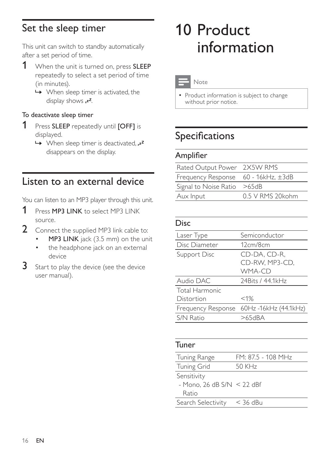# Set the sleep timer

This unit can switch to standby automatically after a set period of time.

- 1 When the unit is turned on, press SLEEP repeatedly to select a set period of time (in minutes).
	- $\rightarrow$  When sleep timer is activated, the display shows  $z^z$ .

## To deactivate sleep timer

- **1** Press **SLEEP** repeatedly until **[OFF]** is displayed.
	- $\rightarrow$  When sleep timer is deactivated,  $z^2$ disappears on the display.

# Listen to an external device

You can listen to an MP3 player through this unit.

- **1** Press **MP3 LINK** to select MP3 LINK source.
- 2 Connect the supplied MP3 link cable to:
	- MP3 LINK jack (3.5 mm) on the unit
	- the headphone jack on an external device
- 3 Start to play the device (see the device user manual).

# 10 Product information

Note

• Product information is subject to change without prior notice.

# Specifications

## **Amplifier**

| Rated Output Power 2X5W RMS         |                   |
|-------------------------------------|-------------------|
| Frequency Response 60 - 16kHz, ±3dB |                   |
| Signal to Noise Ratio >65dB         |                   |
| Aux Input                           | 0.5 V RMS 20 kohm |

## Disc

| Laser Type            | Semiconductor                            |
|-----------------------|------------------------------------------|
| Disc Diameter         | 12cm/8cm                                 |
| Support Disc          | CD-DA, CD-R,                             |
|                       | CD-RW, MP3-CD,                           |
|                       | <b>WMA-CD</b>                            |
| Audio DAC             | 24 Bits / 44.1 kHz                       |
| <b>Total Harmonic</b> |                                          |
| Distortion            | $< 1\%$                                  |
|                       | Frequency Response 60Hz -16kHz (44.1kHz) |
| S/N Ratio             | >65dBA                                   |
|                       |                                          |

## Tuner

| FM: 87.5 - 108 MHz           |
|------------------------------|
| 50 KHz                       |
|                              |
| - Mono, 26 dB $S/N < 22$ dBf |
|                              |
| ≤ 36 dBu                     |
|                              |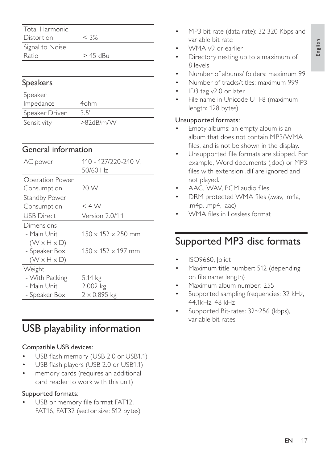English

| Total Harmonic  |            |  |
|-----------------|------------|--|
| Distortion      | $<$ 3%     |  |
| Signal to Noise |            |  |
| Ratio           | $>$ 45 dBu |  |

## Speakers

| Speaker        |              |
|----------------|--------------|
| Impedance      | 4ohm         |
| Speaker Driver | 35"          |
| Sensitivity    | $>82$ dB/m/W |

## General information

| AC power                | 110 - 127/220-240 V,           |
|-------------------------|--------------------------------|
|                         | 50/60 Hz                       |
| <b>Operation Power</b>  |                                |
| Consumption             | 20 W                           |
| <b>Standby Power</b>    |                                |
| Consumption             | $<$ 4 W                        |
| <b>USB Direct</b>       | Version 2.0/1.1                |
| Dimensions              |                                |
| - Main Unit             | $150 \times 152 \times 250$ mm |
| $(W \times H \times D)$ |                                |
| - Speaker Box           | $150 \times 152 \times 197$ mm |
| $(W \times H \times D)$ |                                |
| Weight                  |                                |
| - With Packing          | 5.14 kg                        |
| - Main Unit             | 2.002 kg                       |
| - Speaker Box           | $2 \times 0.895$ kg            |

# USB playability information

## Compatible USB devices:

- USB flash memory (USB 2.0 or USB1.1)
- USB flash players (USB 2.0 or USB1.1)
- memory cards (requires an additional card reader to work with this unit)

## Supported formats:

USB or memory file format FAT12, FAT16, FAT32 (sector size: 512 bytes)

- MP3 bit rate (data rate): 32-320 Kbps and variable bit rate
- WMA v9 or earlier
- Directory nesting up to a maximum of 8 levels
- Number of albums/ folders: maximum 99
- Number of tracks/titles: maximum 999
- ID3 tag v2.0 or later
- File name in Unicode UTF8 (maximum length: 128 bytes)

## Unsupported formats:

- Empty albums: an empty album is an album that does not contain MP3/WMA files, and is not be shown in the display.
- Unsupported file formats are skipped. For example, Word documents (.doc) or MP3 files with extension .dlf are ignored and not played.
- AAC, WAV, PCM audio files
- DRM protected WMA files (.wav, .m4a, .m4p, .mp4, .aac)
- WMA files in Lossless format

# Supported MP3 disc formats

- ISO9660, Joliet
- Maximum title number: 512 (depending on file name length)
- Maximum album number: 255
- Supported sampling frequencies: 32 kHz, 44.1kHz, 48 kHz
- Supported Bit-rates: 32~256 (kbps), variable bit rates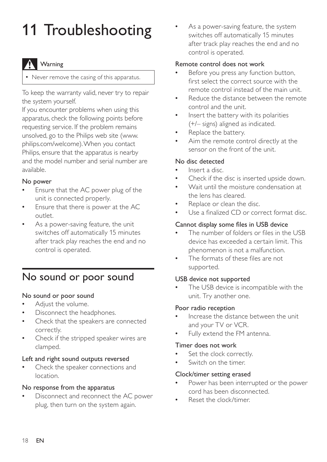# 11 Troubleshooting

## Warning

• Never remove the casing of this apparatus.

To keep the warranty valid, never try to repair the system yourself.

If you encounter problems when using this apparatus, check the following points before requesting service. If the problem remains unsolved, go to the Philips web site (www. philips.com/welcome). When you contact Philips, ensure that the apparatus is nearby and the model number and serial number are available.

### No power

- Ensure that the AC power plug of the unit is connected properly.
- Ensure that there is power at the AC outlet.
- As a power-saving feature, the unit switches off automatically 15 minutes after track play reaches the end and no control is operated.

# No sound or poor sound

#### No sound or poor sound

- Adjust the volume.
- Disconnect the headphones.
- Check that the speakers are connected correctly.
- Check if the stripped speaker wires are clamped.

#### Left and right sound outputs reversed

 Check the speaker connections and location.

#### No response from the apparatus

 Disconnect and reconnect the AC power plug, then turn on the system again.

 As a power-saving feature, the system switches off automatically 15 minutes after track play reaches the end and no control is operated.

#### Remote control does not work

- Before you press any function button, first select the correct source with the remote control instead of the main unit.
- Reduce the distance between the remote control and the unit.
- Insert the battery with its polarities (+/– signs) aligned as indicated.
- Replace the battery.
- Aim the remote control directly at the sensor on the front of the unit.

#### No disc detected

- Insert a disc.
- Check if the disc is inserted upside down.
- Wait until the moisture condensation at the lens has cleared.
- Replace or clean the disc.
- Use a finalized CD or correct format disc.

#### Cannot display some files in USB device

- The number of folders or files in the USB device has exceeded a certain limit. This phenomenon is not a malfunction.
- The formats of these files are not supported.

#### USB device not supported

 The USB device is incompatible with the unit. Try another one.

#### Poor radio reception

- Increase the distance between the unit and your TV or VCR.
- Fully extend the FM antenna.

#### Timer does not work

- Set the clock correctly.
- Switch on the timer.

#### Clock/timer setting erased

- Power has been interrupted or the power cord has been disconnected.
- Reset the clock/timer.